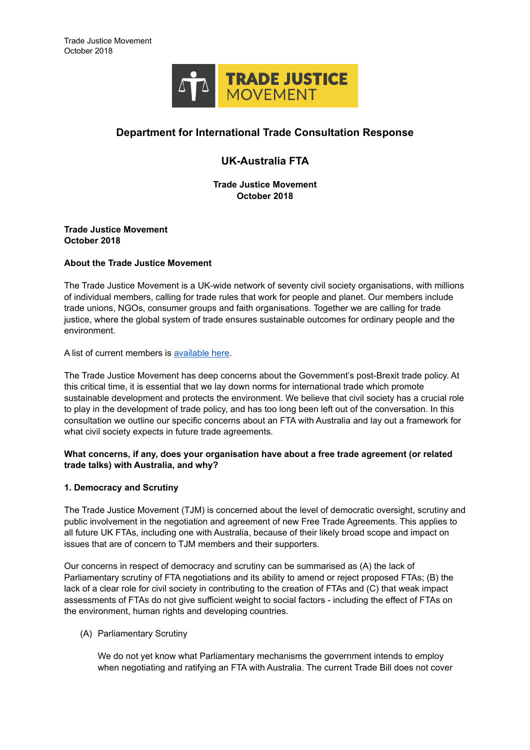

# **Department for International Trade Consultation Response**

# **UK-Australia FTA**

**Trade Justice Movement October 2018**

#### **Trade Justice Movement October 2018**

## **About the Trade Justice Movement**

The Trade Justice Movement is a UK-wide network of seventy civil society organisations, with millions of individual members, calling for trade rules that work for people and planet. Our members include trade unions, NGOs, consumer groups and faith organisations. Together we are calling for trade justice, where the global system of trade ensures sustainable outcomes for ordinary people and the environment.

A list of current members is [available here.](https://www.tjm.org.uk/our-members)

The Trade Justice Movement has deep concerns about the Government's post-Brexit trade policy. At this critical time, it is essential that we lay down norms for international trade which promote sustainable development and protects the environment. We believe that civil society has a crucial role to play in the development of trade policy, and has too long been left out of the conversation. In this consultation we outline our specific concerns about an FTA with Australia and lay out a framework for what civil society expects in future trade agreements.

## **What concerns, if any, does your organisation have about a free trade agreement (or related trade talks) with Australia, and why?**

## **1. Democracy and Scrutiny**

The Trade Justice Movement (TJM) is concerned about the level of democratic oversight, scrutiny and public involvement in the negotiation and agreement of new Free Trade Agreements. This applies to all future UK FTAs, including one with Australia, because of their likely broad scope and impact on issues that are of concern to TJM members and their supporters.

Our concerns in respect of democracy and scrutiny can be summarised as (A) the lack of Parliamentary scrutiny of FTA negotiations and its ability to amend or reject proposed FTAs; (B) the lack of a clear role for civil society in contributing to the creation of FTAs and (C) that weak impact assessments of FTAs do not give sufficient weight to social factors - including the effect of FTAs on the environment, human rights and developing countries.

## (A) Parliamentary Scrutiny

We do not yet know what Parliamentary mechanisms the government intends to employ when negotiating and ratifying an FTA with Australia. The current Trade Bill does not cover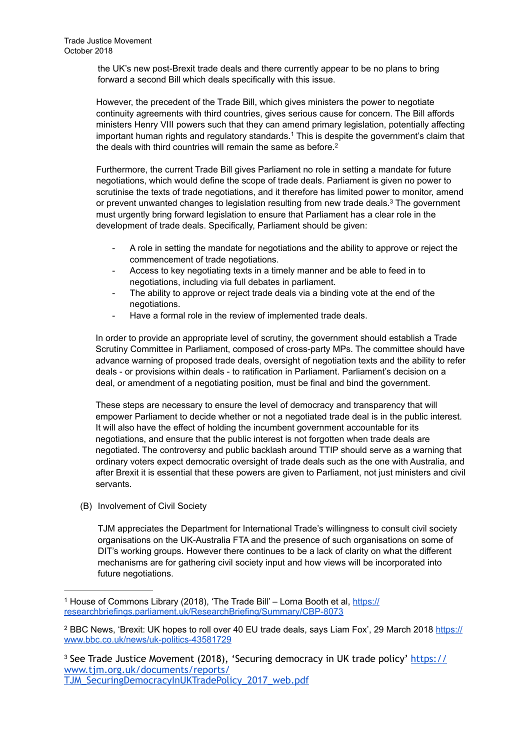the UK's new post-Brexit trade deals and there currently appear to be no plans to bring forward a second Bill which deals specifically with this issue.

However, the precedent of the Trade Bill, which gives ministers the power to negotiate continuity agreements with third countries, gives serious cause for concern. The Bill affords ministers Henry VIII powers such that they can amend primary legislation, potentially affecting important human rights and regulatory standards.<sup>1</sup> This is despite the government's claim that the deals with third countries will remain the same as before.<sup>2</sup>

Furthermore, the current Trade Bill gives Parliament no role in setting a mandate for future negotiations, which would define the scope of trade deals. Parliament is given no power to scrutinise the texts of trade negotiations, and it therefore has limited power to monitor, amend or prevent unwanted changes to legislation resulting from new trade deals.<sup>3</sup> The government must urgently bring forward legislation to ensure that Parliament has a clear role in the development of trade deals. Specifically, Parliament should be given:

- A role in setting the mandate for negotiations and the ability to approve or reject the commencement of trade negotiations.
- Access to key negotiating texts in a timely manner and be able to feed in to negotiations, including via full debates in parliament.
- The ability to approve or reject trade deals via a binding vote at the end of the negotiations.
- Have a formal role in the review of implemented trade deals.

In order to provide an appropriate level of scrutiny, the government should establish a Trade Scrutiny Committee in Parliament, composed of cross-party MPs. The committee should have advance warning of proposed trade deals, oversight of negotiation texts and the ability to refer deals - or provisions within deals - to ratification in Parliament. Parliament's decision on a deal, or amendment of a negotiating position, must be final and bind the government.

These steps are necessary to ensure the level of democracy and transparency that will empower Parliament to decide whether or not a negotiated trade deal is in the public interest. It will also have the effect of holding the incumbent government accountable for its negotiations, and ensure that the public interest is not forgotten when trade deals are negotiated. The controversy and public backlash around TTIP should serve as a warning that ordinary voters expect democratic oversight of trade deals such as the one with Australia, and after Brexit it is essential that these powers are given to Parliament, not just ministers and civil servants.

(B) Involvement of Civil Society

TJM appreciates the Department for International Trade's willingness to consult civil society organisations on the UK-Australia FTA and the presence of such organisations on some of DIT's working groups. However there continues to be a lack of clarity on what the different mechanisms are for gathering civil society input and how views will be incorporated into future negotiations.

<sup>&</sup>lt;sup>1</sup> [House of Commons Library \(2018\), 'The Trade Bill' – Lorna Booth et al, https://](https://researchbriefings.parliament.uk/ResearchBriefing/Summary/CBP-8073) researchbriefings.parliament.uk/ResearchBriefing/Summary/CBP-8073

<sup>&</sup>lt;sup>2</sup> [BBC News, 'Brexit: UK hopes to roll over 40 EU trade deals, says Liam Fox', 29 March 2018 https://](https://www.bbc.co.uk/news/uk-politics-43581729) www.bbc.co.uk/news/uk-politics-43581729

 $3$  [See Trade Justice Movement \(2018\), 'Securing democracy in UK trade policy' https://](https://www.tjm.org.uk/documents/reports/TJM_SecuringDemocracyInUKTradePolicy_2017_web.pdf) www.tjm.org.uk/documents/reports/ TJM\_SecuringDemocracyInUKTradePolicy\_2017\_web.pdf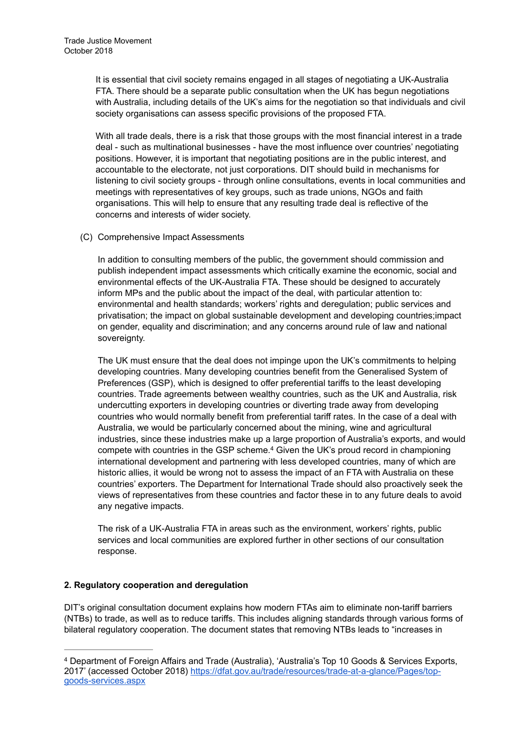It is essential that civil society remains engaged in all stages of negotiating a UK-Australia FTA. There should be a separate public consultation when the UK has begun negotiations with Australia, including details of the UK's aims for the negotiation so that individuals and civil society organisations can assess specific provisions of the proposed FTA.

With all trade deals, there is a risk that those groups with the most financial interest in a trade deal - such as multinational businesses - have the most influence over countries' negotiating positions. However, it is important that negotiating positions are in the public interest, and accountable to the electorate, not just corporations. DIT should build in mechanisms for listening to civil society groups - through online consultations, events in local communities and meetings with representatives of key groups, such as trade unions, NGOs and faith organisations. This will help to ensure that any resulting trade deal is reflective of the concerns and interests of wider society.

(C) Comprehensive Impact Assessments

In addition to consulting members of the public, the government should commission and publish independent impact assessments which critically examine the economic, social and environmental effects of the UK-Australia FTA. These should be designed to accurately inform MPs and the public about the impact of the deal, with particular attention to: environmental and health standards; workers' rights and deregulation; public services and privatisation; the impact on global sustainable development and developing countries;impact on gender, equality and discrimination; and any concerns around rule of law and national sovereignty.

The UK must ensure that the deal does not impinge upon the UK's commitments to helping developing countries. Many developing countries benefit from the Generalised System of Preferences (GSP), which is designed to offer preferential tariffs to the least developing countries. Trade agreements between wealthy countries, such as the UK and Australia, risk undercutting exporters in developing countries or diverting trade away from developing countries who would normally benefit from preferential tariff rates. In the case of a deal with Australia, we would be particularly concerned about the mining, wine and agricultural industries, since these industries make up a large proportion of Australia's exports, and would compete with countries in the GSP scheme.<sup>4</sup> Given the UK's proud record in championing international development and partnering with less developed countries, many of which are historic allies, it would be wrong not to assess the impact of an FTA with Australia on these countries' exporters. The Department for International Trade should also proactively seek the views of representatives from these countries and factor these in to any future deals to avoid any negative impacts.

The risk of a UK-Australia FTA in areas such as the environment, workers' rights, public services and local communities are explored further in other sections of our consultation response.

## **2. Regulatory cooperation and deregulation**

DIT's original consultation document explains how modern FTAs aim to eliminate non-tariff barriers (NTBs) to trade, as well as to reduce tariffs. This includes aligning standards through various forms of bilateral regulatory cooperation. The document states that removing NTBs leads to "increases in

Department of Foreign Affairs and Trade (Australia), 'Australia's Top 10 Goods & Services Exports, 4 [2017' \(accessed October 2018\) https://dfat.gov.au/trade/resources/trade-at-a-glance/Pages/top](https://dfat.gov.au/trade/resources/trade-at-a-glance/Pages/top-goods-services.aspx)goods-services.aspx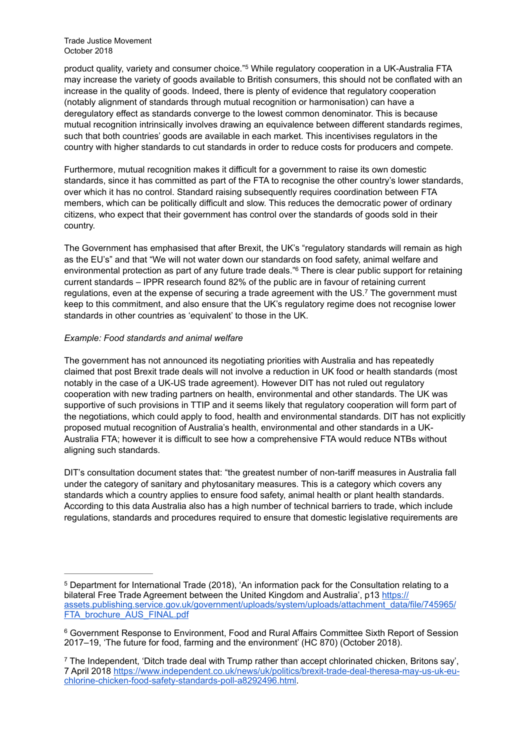product quality, variety and consumer choice."<sup>5</sup> While regulatory cooperation in a UK-Australia FTA may increase the variety of goods available to British consumers, this should not be conflated with an increase in the quality of goods. Indeed, there is plenty of evidence that regulatory cooperation (notably alignment of standards through mutual recognition or harmonisation) can have a deregulatory effect as standards converge to the lowest common denominator. This is because mutual recognition intrinsically involves drawing an equivalence between different standards regimes, such that both countries' goods are available in each market. This incentivises regulators in the country with higher standards to cut standards in order to reduce costs for producers and compete.

Furthermore, mutual recognition makes it difficult for a government to raise its own domestic standards, since it has committed as part of the FTA to recognise the other country's lower standards, over which it has no control. Standard raising subsequently requires coordination between FTA members, which can be politically difficult and slow. This reduces the democratic power of ordinary citizens, who expect that their government has control over the standards of goods sold in their country.

The Government has emphasised that after Brexit, the UK's "regulatory standards will remain as high as the EU's" and that "We will not water down our standards on food safety, animal welfare and environmental protection as part of any future trade deals."<sup>6</sup> There is clear public support for retaining current standards – IPPR research found 82% of the public are in favour of retaining current regulations, even at the expense of securing a trade agreement with the US.<sup>7</sup> The government must keep to this commitment, and also ensure that the UK's regulatory regime does not recognise lower standards in other countries as 'equivalent' to those in the UK.

## *Example: Food standards and animal welfare*

The government has not announced its negotiating priorities with Australia and has repeatedly claimed that post Brexit trade deals will not involve a reduction in UK food or health standards (most notably in the case of a UK-US trade agreement). However DIT has not ruled out regulatory cooperation with new trading partners on health, environmental and other standards. The UK was supportive of such provisions in TTIP and it seems likely that regulatory cooperation will form part of the negotiations, which could apply to food, health and environmental standards. DIT has not explicitly proposed mutual recognition of Australia's health, environmental and other standards in a UK-Australia FTA; however it is difficult to see how a comprehensive FTA would reduce NTBs without aligning such standards.

DIT's consultation document states that: "the greatest number of non-tariff measures in Australia fall under the category of sanitary and phytosanitary measures. This is a category which covers any standards which a country applies to ensure food safety, animal health or plant health standards. According to this data Australia also has a high number of technical barriers to trade, which include regulations, standards and procedures required to ensure that domestic legislative requirements are

<sup>&</sup>lt;sup>5</sup> Department for International Trade (2018), 'An information pack for the Consultation relating to a bilateral Free Trade Agreement between the United Kingdom and Australia', p13 https:// [assets.publishing.service.gov.uk/government/uploads/system/uploads/attachment\\_data/file/745965/](https://assets.publishing.service.gov.uk/government/uploads/system/uploads/attachment_data/file/745965/FTA_brochure_AUS_FINAL.pdf) FTA\_brochure\_AUS\_FINAL.pdf

<sup>&</sup>lt;sup>6</sup> Government Response to Environment, Food and Rural Affairs Committee Sixth Report of Session 2017–19, 'The future for food, farming and the environment' (HC 870) (October 2018).

<sup>&</sup>lt;sup>7</sup> The Independent, 'Ditch trade deal with Trump rather than accept chlorinated chicken, Britons say', [7 April 2018 https://www.independent.co.uk/news/uk/politics/brexit-trade-deal-theresa-may-us-uk-eu](https://www.independent.co.uk/news/uk/politics/brexit-trade-deal-theresa-may-us-uk-eu-chlorine-chicken-food-safety-standards-poll-a8292496.html)chlorine-chicken-food-safety-standards-poll-a8292496.html.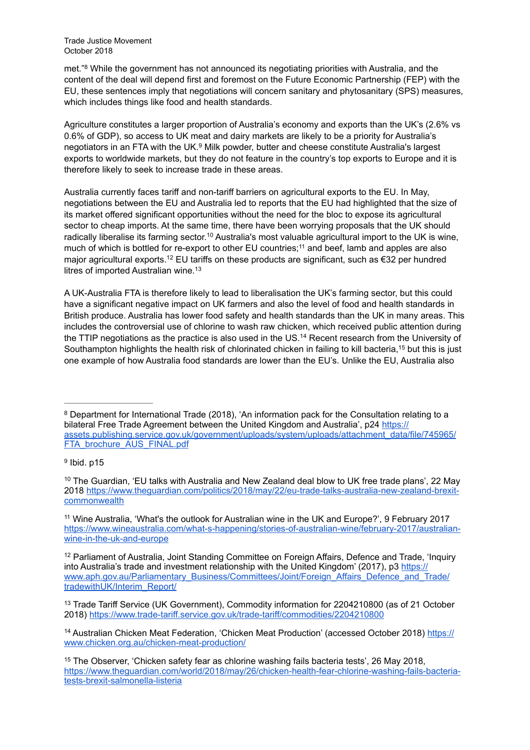met."<sup>8</sup> While the government has not announced its negotiating priorities with Australia, and the content of the deal will depend first and foremost on the Future Economic Partnership (FEP) with the EU, these sentences imply that negotiations will concern sanitary and phytosanitary (SPS) measures, which includes things like food and health standards.

Agriculture constitutes a larger proportion of Australia's economy and exports than the UK's (2.6% vs 0.6% of GDP), so access to UK meat and dairy markets are likely to be a priority for Australia's negotiators in an FTA with the UK. $9$  Milk powder, butter and cheese constitute Australia's largest exports to worldwide markets, but they do not feature in the country's top exports to Europe and it is therefore likely to seek to increase trade in these areas.

Australia currently faces tariff and non-tariff barriers on agricultural exports to the EU. In May, negotiations between the EU and Australia led to reports that the EU had highlighted that the size of its market offered significant opportunities without the need for the bloc to expose its agricultural sector to cheap imports. At the same time, there have been worrying proposals that the UK should radically liberalise its farming sector.<sup>10</sup> Australia's most valuable agricultural import to the UK is wine, much of which is bottled for re-export to other EU countries;<sup>11</sup> and beef, lamb and apples are also major agricultural exports.<sup>12</sup> EU tariffs on these products are significant, such as €32 per hundred litres of imported Australian wine.<sup>13</sup>

A UK-Australia FTA is therefore likely to lead to liberalisation the UK's farming sector, but this could have a significant negative impact on UK farmers and also the level of food and health standards in British produce. Australia has lower food safety and health standards than the UK in many areas. This includes the controversial use of chlorine to wash raw chicken, which received public attention during the TTIP negotiations as the practice is also used in the US.<sup>14</sup> Recent research from the University of Southampton highlights the health risk of chlorinated chicken in failing to kill bacteria,  $15$  but this is just one example of how Australia food standards are lower than the EU's. Unlike the EU, Australia also

 $9$  Ibid. p15

<sup>&</sup>lt;sup>8</sup> Department for International Trade (2018), 'An information pack for the Consultation relating to a bilateral Free Trade Agreement between the United Kingdom and Australia', p24 https:// [assets.publishing.service.gov.uk/government/uploads/system/uploads/attachment\\_data/file/745965/](https://assets.publishing.service.gov.uk/government/uploads/system/uploads/attachment_data/file/745965/FTA_brochure_AUS_FINAL.pdf) FTA\_brochure\_AUS\_FINAL.pdf

 $10$  The Guardian, 'EU talks with Australia and New Zealand deal blow to UK free trade plans', 22 May [2018 https://www.theguardian.com/politics/2018/may/22/eu-trade-talks-australia-new-zealand-brexit](https://www.theguardian.com/politics/2018/may/22/eu-trade-talks-australia-new-zealand-brexit-commonwealth)**commonwealth** 

<sup>&</sup>lt;sup>11</sup> Wine Australia, 'What's the outlook for Australian wine in the UK and Europe?', 9 February 2017 [https://www.wineaustralia.com/what-s-happening/stories-of-australian-wine/february-2017/australian](https://www.wineaustralia.com/what-s-happening/stories-of-australian-wine/february-2017/australian-wine-in-the-uk-and-europe)wine-in-the-uk-and-europe

<sup>&</sup>lt;sup>12</sup> Parliament of Australia, Joint Standing Committee on Foreign Affairs, Defence and Trade, 'Inquiry into Australia's trade and investment relationship with the United Kingdom' (2017), p3 https:// [www.aph.gov.au/Parliamentary\\_Business/Committees/Joint/Foreign\\_Affairs\\_Defence\\_and\\_Trade/](https://www.aph.gov.au/Parliamentary_Business/Committees/Joint/Foreign_Affairs_Defence_and_Trade/tradewithUK/Interim_Report/) tradewithUK/Interim\_Report/

<sup>&</sup>lt;sup>13</sup> Trade Tariff Service (UK Government), Commodity information for 2204210800 (as of 21 October 2018)<https://www.trade-tariff.service.gov.uk/trade-tariff/commodities/2204210800>

<sup>&</sup>lt;sup>14</sup> [Australian Chicken Meat Federation, 'Chicken Meat Production' \(accessed October 2018\) https://](https://www.chicken.org.au/chicken-meat-production/) www.chicken.org.au/chicken-meat-production/

 $15$  The Observer, 'Chicken safety fear as chlorine washing fails bacteria tests', 26 May 2018, [https://www.theguardian.com/world/2018/may/26/chicken-health-fear-chlorine-washing-fails-bacteria](https://www.theguardian.com/world/2018/may/26/chicken-health-fear-chlorine-washing-fails-bacteria-tests-brexit-salmonella-listeria)tests-brexit-salmonella-listeria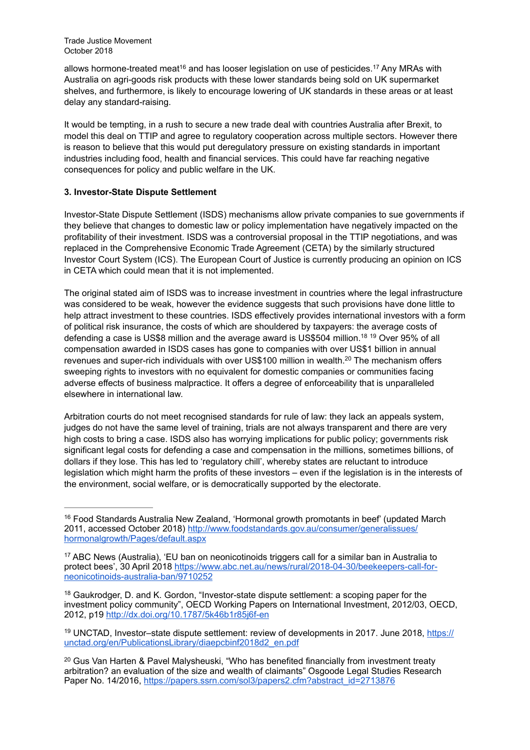allows hormone-treated meat<sup>16</sup> and has looser legislation on use of pesticides.<sup>17</sup> Any MRAs with Australia on agri-goods risk products with these lower standards being sold on UK supermarket shelves, and furthermore, is likely to encourage lowering of UK standards in these areas or at least delay any standard-raising.

It would be tempting, in a rush to secure a new trade deal with countries Australia after Brexit, to model this deal on TTIP and agree to regulatory cooperation across multiple sectors. However there is reason to believe that this would put deregulatory pressure on existing standards in important industries including food, health and financial services. This could have far reaching negative consequences for policy and public welfare in the UK.

## **3. Investor-State Dispute Settlement**

Investor-State Dispute Settlement (ISDS) mechanisms allow private companies to sue governments if they believe that changes to domestic law or policy implementation have negatively impacted on the profitability of their investment. ISDS was a controversial proposal in the TTIP negotiations, and was replaced in the Comprehensive Economic Trade Agreement (CETA) by the similarly structured Investor Court System (ICS). The European Court of Justice is currently producing an opinion on ICS in CETA which could mean that it is not implemented.

The original stated aim of ISDS was to increase investment in countries where the legal infrastructure was considered to be weak, however the evidence suggests that such provisions have done little to help attract investment to these countries. ISDS effectively provides international investors with a form of political risk insurance, the costs of which are shouldered by taxpayers: the average costs of defending a case is US\$8 million and the average award is US\$504 million.<sup>18 19</sup> Over 95% of all compensation awarded in ISDS cases has gone to companies with over US\$1 billion in annual revenues and super-rich individuals with over US\$100 million in wealth.<sup>20</sup> The mechanism offers sweeping rights to investors with no equivalent for domestic companies or communities facing adverse effects of business malpractice. It offers a degree of enforceability that is unparalleled elsewhere in international law.

Arbitration courts do not meet recognised standards for rule of law: they lack an appeals system, judges do not have the same level of training, trials are not always transparent and there are very high costs to bring a case. ISDS also has worrying implications for public policy; governments risk significant legal costs for defending a case and compensation in the millions, sometimes billions, of dollars if they lose. This has led to 'regulatory chill', whereby states are reluctant to introduce legislation which might harm the profits of these investors – even if the legislation is in the interests of the environment, social welfare, or is democratically supported by the electorate.

<sup>&</sup>lt;sup>16</sup> Food Standards Australia New Zealand, 'Hormonal growth promotants in beef' (updated March [2011, accessed October 2018\) http://www.foodstandards.gov.au/consumer/generalissues/](http://www.foodstandards.gov.au/consumer/generalissues/hormonalgrowth/Pages/default.aspx) hormonalgrowth/Pages/default.aspx

<sup>&</sup>lt;sup>17</sup> ABC News (Australia), 'EU ban on neonicotinoids triggers call for a similar ban in Australia to [protect bees', 30 April 2018 https://www.abc.net.au/news/rural/2018-04-30/beekeepers-call-for](https://www.abc.net.au/news/rural/2018-04-30/beekeepers-call-for-neonicotinoids-australia-ban/9710252)neonicotinoids-australia-ban/9710252

<sup>&</sup>lt;sup>18</sup> Gaukrodger, D. and K. Gordon, "Investor-state dispute settlement: a scoping paper for the investment policy community", OECD Working Papers on International Investment, 2012/03, OECD, 2012, p19<http://dx.doi.org/10.1787/5k46b1r85j6f-en>

<sup>&</sup>lt;sup>19</sup> [UNCTAD, Investor–state dispute settlement: review of developments in 2017. June 2018, https://](https://unctad.org/en/PublicationsLibrary/diaepcbinf2018d2_en.pdf) unctad.org/en/PublicationsLibrary/diaepcbinf2018d2\_en.pdf

<sup>&</sup>lt;sup>20</sup> Gus Van Harten & Pavel Malysheuski, "Who has benefited financially from investment treaty arbitration? an evaluation of the size and wealth of claimants" Osgoode Legal Studies Research Paper No. 14/2016, [https://papers.ssrn.com/sol3/papers2.cfm?abstract\\_id=2713876](https://papers.ssrn.com/sol3/papers2.cfm?abstract_id=2713876)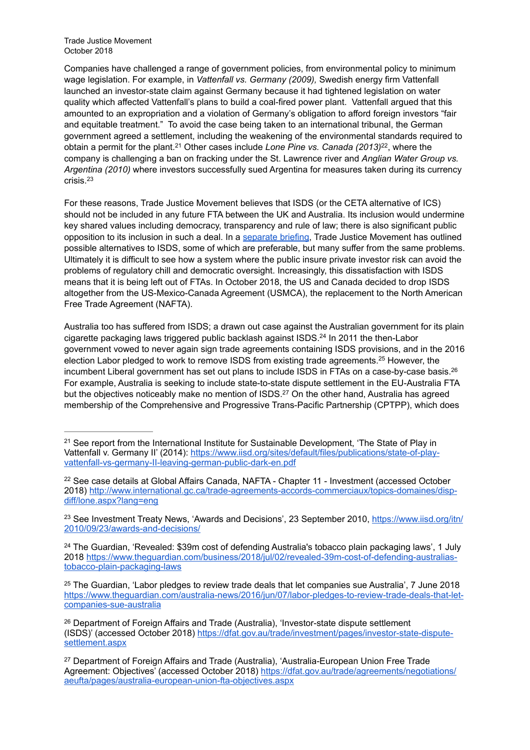Companies have challenged a range of government policies, from environmental policy to minimum wage legislation. For example, in *Vattenfall vs. Germany (2009),* Swedish energy firm Vattenfall launched an investor-state claim against Germany because it had tightened legislation on water quality which affected Vattenfall's plans to build a coal-fired power plant. Vattenfall argued that this amounted to an expropriation and a violation of Germany's obligation to afford foreign investors "fair and equitable treatment." To avoid the case being taken to an international tribunal, the German government agreed a settlement, including the weakening of the environmental standards required to obtain a permit for the plant.<sup>21</sup> Other cases include *Lone Pine vs. Canada (2013)*<sup>22</sup>, where the company is challenging a ban on fracking under the St. Lawrence river and *Anglian Water Group vs. Argentina (2010)* where investors successfully sued Argentina for measures taken during its currency crisis.23

For these reasons, Trade Justice Movement believes that ISDS (or the CETA alternative of ICS) should not be included in any future FTA between the UK and Australia. Its inclusion would undermine key shared values including democracy, transparency and rule of law; there is also significant public opposition to its inclusion in such a deal. In a [separate briefing](https://www.tjm.org.uk/documents/briefings/Stepping-away-from-ISDS.pdf), Trade Justice Movement has outlined possible alternatives to ISDS, some of which are preferable, but many suffer from the same problems. Ultimately it is difficult to see how a system where the public insure private investor risk can avoid the problems of regulatory chill and democratic oversight. Increasingly, this dissatisfaction with ISDS means that it is being left out of FTAs. In October 2018, the US and Canada decided to drop ISDS altogether from the US-Mexico-Canada Agreement (USMCA), the replacement to the North American Free Trade Agreement (NAFTA).

Australia too has suffered from ISDS; a drawn out case against the Australian government for its plain cigarette packaging laws triggered public backlash against ISDS.<sup>24</sup> In 2011 the then-Labor government vowed to never again sign trade agreements containing ISDS provisions, and in the 2016 election Labor pledged to work to remove ISDS from existing trade agreements.<sup>25</sup> However, the incumbent Liberal government has set out plans to include ISDS in FTAs on a case-by-case basis.<sup>26</sup> For example, Australia is seeking to include state-to-state dispute settlement in the EU-Australia FTA but the objectives noticeably make no mention of ISDS.<sup>27</sup> On the other hand, Australia has agreed membership of the Comprehensive and Progressive Trans-Pacific Partnership (CPTPP), which does

<sup>23</sup> [See Investment Treaty News, 'Awards and Decisions', 23 September 2010, https://www.iisd.org/itn/](https://www.iisd.org/itn/2010/09/23/awards-and-decisions/) 2010/09/23/awards-and-decisions/

 $24$  The Guardian, 'Revealed: \$39m cost of defending Australia's tobacco plain packaging laws', 1 July [2018 https://www.theguardian.com/business/2018/jul/02/revealed-39m-cost-of-defending-australias](https://www.theguardian.com/business/2018/jul/02/revealed-39m-cost-of-defending-australias-tobacco-plain-packaging-laws)tobacco-plain-packaging-laws

<sup>&</sup>lt;sup>21</sup> See report from the International Institute for Sustainable Development, 'The State of Play in [Vattenfall v. Germany II' \(2014\): https://www.iisd.org/sites/default/files/publications/state-of-play](https://www.iisd.org/sites/default/files/publications/state-of-play-vattenfall-vs-germany-II-leaving-german-public-dark-en.pdf)vattenfall-vs-germany-II-leaving-german-public-dark-en.pdf

<sup>&</sup>lt;sup>22</sup> See case details at Global Affairs Canada, NAFTA - Chapter 11 - Investment (accessed October [2018\) http://www.international.gc.ca/trade-agreements-accords-commerciaux/topics-domaines/disp](http://www.international.gc.ca/trade-agreements-accords-commerciaux/topics-domaines/disp-diff/lone.aspx?lang=eng)diff/lone.aspx?lang=eng

 $25$  The Guardian, 'Labor pledges to review trade deals that let companies sue Australia', 7 June 2018 [https://www.theguardian.com/australia-news/2016/jun/07/labor-pledges-to-review-trade-deals-that-let](https://www.theguardian.com/australia-news/2016/jun/07/labor-pledges-to-review-trade-deals-that-let-companies-sue-australia)companies-sue-australia

<sup>&</sup>lt;sup>26</sup> Department of Foreign Affairs and Trade (Australia), 'Investor-state dispute settlement [\(ISDS\)' \(accessed October 2018\) https://dfat.gov.au/trade/investment/pages/investor-state-dispute](https://dfat.gov.au/trade/investment/pages/investor-state-dispute-settlement.aspx)settlement.aspx

<sup>&</sup>lt;sup>27</sup> Department of Foreign Affairs and Trade (Australia), 'Australia-European Union Free Trade [Agreement: Objectives' \(accessed October 2018\) https://dfat.gov.au/trade/agreements/negotiations/](https://dfat.gov.au/trade/agreements/negotiations/aeufta/pages/australia-european-union-fta-objectives.aspx) aeufta/pages/australia-european-union-fta-objectives.aspx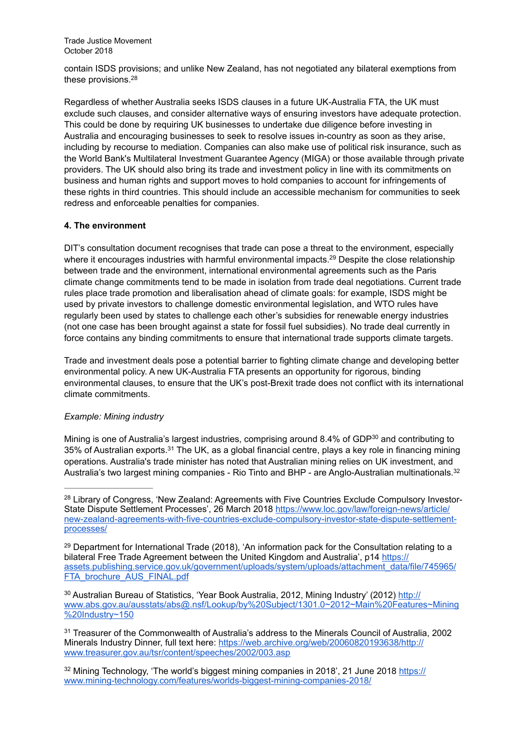contain ISDS provisions; and unlike New Zealand, has not negotiated any bilateral exemptions from these provisions.28

Regardless of whether Australia seeks ISDS clauses in a future UK-Australia FTA, the UK must exclude such clauses, and consider alternative ways of ensuring investors have adequate protection. This could be done by requiring UK businesses to undertake due diligence before investing in Australia and encouraging businesses to seek to resolve issues in-country as soon as they arise, including by recourse to mediation. Companies can also make use of political risk insurance, such as the World Bank's Multilateral Investment Guarantee Agency (MIGA) or those available through private providers. The UK should also bring its trade and investment policy in line with its commitments on business and human rights and support moves to hold companies to account for infringements of these rights in third countries. This should include an accessible mechanism for communities to seek redress and enforceable penalties for companies.

## **4. The environment**

DIT's consultation document recognises that trade can pose a threat to the environment, especially where it encourages industries with harmful environmental impacts.<sup>29</sup> Despite the close relationship between trade and the environment, international environmental agreements such as the Paris climate change commitments tend to be made in isolation from trade deal negotiations. Current trade rules place trade promotion and liberalisation ahead of climate goals: for example, ISDS might be used by private investors to challenge domestic environmental legislation, and WTO rules have regularly been used by states to challenge each other's subsidies for renewable energy industries (not one case has been brought against a state for fossil fuel subsidies). No trade deal currently in force contains any binding commitments to ensure that international trade supports climate targets.

Trade and investment deals pose a potential barrier to fighting climate change and developing better environmental policy. A new UK-Australia FTA presents an opportunity for rigorous, binding environmental clauses, to ensure that the UK's post-Brexit trade does not conflict with its international climate commitments.

# *Example: Mining industry*

Mining is one of Australia's largest industries, comprising around 8.4% of GDP $^{30}$  and contributing to 35% of Australian exports. $31$  The UK, as a global financial centre, plays a key role in financing mining operations. Australia's trade minister has noted that Australian mining relies on UK investment, and Australia's two largest mining companies - Rio Tinto and BHP - are Anglo-Australian multinationals.<sup>32</sup>

<sup>&</sup>lt;sup>28</sup> Library of Congress, 'New Zealand: Agreements with Five Countries Exclude Compulsory Investor-State Dispute Settlement Processes', 26 March 2018 https://www.loc.gov/law/foreign-news/article/ [new-zealand-agreements-with-five-countries-exclude-compulsory-investor-state-dispute-settlement](https://www.loc.gov/law/foreign-news/article/new-zealand-agreements-with-five-countries-exclude-compulsory-investor-state-dispute-settlement-processes/)processes/

 $29$  Department for International Trade (2018), 'An information pack for the Consultation relating to a bilateral Free Trade Agreement between the United Kingdom and Australia', p14 https:// [assets.publishing.service.gov.uk/government/uploads/system/uploads/attachment\\_data/file/745965/](https://assets.publishing.service.gov.uk/government/uploads/system/uploads/attachment_data/file/745965/FTA_brochure_AUS_FINAL.pdf) FTA brochure AUS FINAL.pdf

 $^{\rm 30}$  Australian Bureau of Statistics, 'Year Book Australia, 2012, Mining Industry' (2012)  $\rm \frac{http://}{\rm 2012})$ [www.abs.gov.au/ausstats/abs@.nsf/Lookup/by%20Subject/1301.0~2012~Main%20Features~Mining](http://www.abs.gov.au/ausstats/abs@.nsf/Lookup/by%2520Subject/1301.0~2012~Main%2520Features~Mining%2520Industry~150) %20Industry~150

<sup>&</sup>lt;sup>31</sup> Treasurer of the Commonwealth of Australia's address to the Minerals Council of Australia, 2002 [Minerals Industry Dinner, full text here: https://web.archive.org/web/20060820193638/http://](https://web.archive.org/web/20060820193638/http://www.treasurer.gov.au/tsr/content/speeches/2002/003.asp) www.treasurer.gov.au/tsr/content/speeches/2002/003.asp

<sup>&</sup>lt;sup>32</sup> [Mining Technology, 'The world's biggest mining companies in 2018', 21 June 2018 https://](https://www.mining-technology.com/features/worlds-biggest-mining-companies-2018/) www.mining-technology.com/features/worlds-biggest-mining-companies-2018/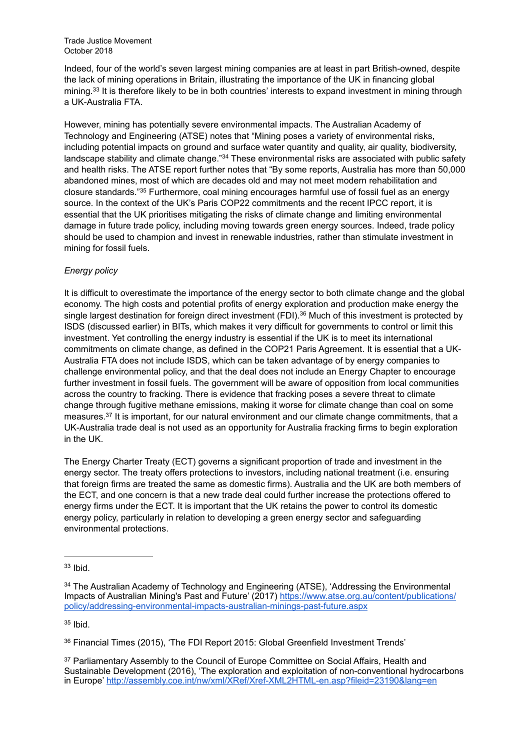Indeed, four of the world's seven largest mining companies are at least in part British-owned, despite the lack of mining operations in Britain, illustrating the importance of the UK in financing global mining.<sup>33</sup> It is therefore likely to be in both countries' interests to expand investment in mining through a UK-Australia FTA.

However, mining has potentially severe environmental impacts. The Australian Academy of Technology and Engineering (ATSE) notes that "Mining poses a variety of environmental risks, including potential impacts on ground and surface water quantity and quality, air quality, biodiversity, landscape stability and climate change."<sup>34</sup> These environmental risks are associated with public safety and health risks. The ATSE report further notes that "By some reports, Australia has more than 50,000 abandoned mines, most of which are decades old and may not meet modern rehabilitation and closure standards."<sup>35</sup> Furthermore, coal mining encourages harmful use of fossil fuel as an energy source. In the context of the UK's Paris COP22 commitments and the recent IPCC report, it is essential that the UK prioritises mitigating the risks of climate change and limiting environmental damage in future trade policy, including moving towards green energy sources. Indeed, trade policy should be used to champion and invest in renewable industries, rather than stimulate investment in mining for fossil fuels.

## *Energy policy*

It is difficult to overestimate the importance of the energy sector to both climate change and the global economy. The high costs and potential profits of energy exploration and production make energy the single largest destination for foreign direct investment (FDI).<sup>36</sup> Much of this investment is protected by ISDS (discussed earlier) in BITs, which makes it very difficult for governments to control or limit this investment. Yet controlling the energy industry is essential if the UK is to meet its international commitments on climate change, as defined in the COP21 Paris Agreement. It is essential that a UK-Australia FTA does not include ISDS, which can be taken advantage of by energy companies to challenge environmental policy, and that the deal does not include an Energy Chapter to encourage further investment in fossil fuels. The government will be aware of opposition from local communities across the country to fracking. There is evidence that fracking poses a severe threat to climate change through fugitive methane emissions, making it worse for climate change than coal on some measures.<sup>37</sup> It is important, for our natural environment and our climate change commitments, that a UK-Australia trade deal is not used as an opportunity for Australia fracking firms to begin exploration in the UK.

The Energy Charter Treaty (ECT) governs a significant proportion of trade and investment in the energy sector. The treaty offers protections to investors, including national treatment (i.e. ensuring that foreign firms are treated the same as domestic firms). Australia and the UK are both members of the ECT, and one concern is that a new trade deal could further increase the protections offered to energy firms under the ECT. It is important that the UK retains the power to control its domestic energy policy, particularly in relation to developing a green energy sector and safeguarding environmental protections.

 $35$  Ibid.

<sup>36</sup> Financial Times (2015), 'The FDI Report 2015: Global Greenfield Investment Trends'

<sup>37</sup> Parliamentary Assembly to the Council of Europe Committee on Social Affairs, Health and Sustainable Development (2016), 'The exploration and exploitation of non-conventional hydrocarbons in Europe'<http://assembly.coe.int/nw/xml/XRef/Xref-XML2HTML-en.asp?fileid=23190&lang=en>

 $33$  Ibid.

<sup>&</sup>lt;sup>34</sup> The Australian Academy of Technology and Engineering (ATSE), 'Addressing the Environmental [Impacts of Australian Mining's Past and Future' \(2017\) https://www.atse.org.au/content/publications/](https://www.atse.org.au/content/publications/policy/addressing-environmental-impacts-australian-minings-past-future.aspx) policy/addressing-environmental-impacts-australian-minings-past-future.aspx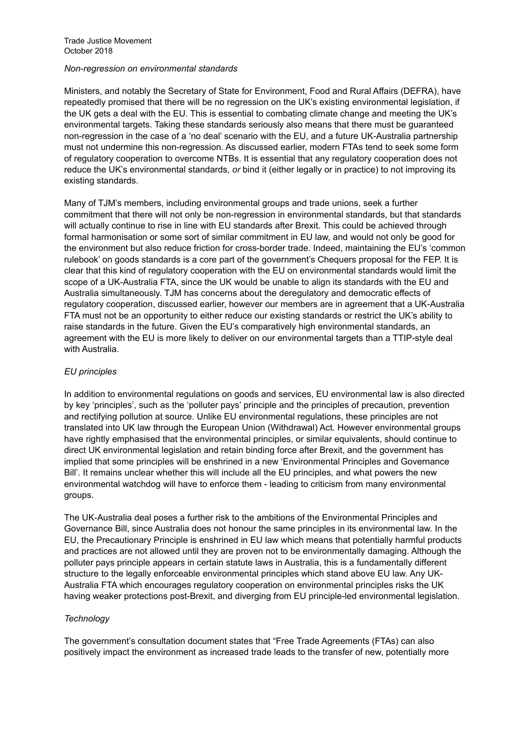#### *Non-regression on environmental standards*

Ministers, and notably the Secretary of State for Environment, Food and Rural Affairs (DEFRA), have repeatedly promised that there will be no regression on the UK's existing environmental legislation, if the UK gets a deal with the EU. This is essential to combating climate change and meeting the UK's environmental targets. Taking these standards seriously also means that there must be guaranteed non-regression in the case of a 'no deal' scenario with the EU, and a future UK-Australia partnership must not undermine this non-regression. As discussed earlier, modern FTAs tend to seek some form of regulatory cooperation to overcome NTBs. It is essential that any regulatory cooperation does not reduce the UK's environmental standards, *or* bind it (either legally or in practice) to not improving its existing standards.

Many of TJM's members, including environmental groups and trade unions, seek a further commitment that there will not only be non-regression in environmental standards, but that standards will actually continue to rise in line with EU standards after Brexit. This could be achieved through formal harmonisation or some sort of similar commitment in EU law, and would not only be good for the environment but also reduce friction for cross-border trade. Indeed, maintaining the EU's 'common rulebook' on goods standards is a core part of the government's Chequers proposal for the FEP. It is clear that this kind of regulatory cooperation with the EU on environmental standards would limit the scope of a UK-Australia FTA, since the UK would be unable to align its standards with the EU and Australia simultaneously. TJM has concerns about the deregulatory and democratic effects of regulatory cooperation, discussed earlier, however our members are in agreement that a UK-Australia FTA must not be an opportunity to either reduce our existing standards or restrict the UK's ability to raise standards in the future. Given the EU's comparatively high environmental standards, an agreement with the EU is more likely to deliver on our environmental targets than a TTIP-style deal with Australia.

## *EU principles*

In addition to environmental regulations on goods and services, EU environmental law is also directed by key 'principles', such as the 'polluter pays' principle and the principles of precaution, prevention and rectifying pollution at source. Unlike EU environmental regulations, these principles are not translated into UK law through the European Union (Withdrawal) Act. However environmental groups have rightly emphasised that the environmental principles, or similar equivalents, should continue to direct UK environmental legislation and retain binding force after Brexit, and the government has implied that some principles will be enshrined in a new 'Environmental Principles and Governance Bill'. It remains unclear whether this will include all the EU principles, and what powers the new environmental watchdog will have to enforce them - leading to criticism from many environmental groups.

The UK-Australia deal poses a further risk to the ambitions of the Environmental Principles and Governance Bill, since Australia does not honour the same principles in its environmental law. In the EU, the Precautionary Principle is enshrined in EU law which means that potentially harmful products and practices are not allowed until they are proven not to be environmentally damaging. Although the polluter pays principle appears in certain statute laws in Australia, this is a fundamentally different structure to the legally enforceable environmental principles which stand above EU law. Any UK-Australia FTA which encourages regulatory cooperation on environmental principles risks the UK having weaker protections post-Brexit, and diverging from EU principle-led environmental legislation.

## *Technology*

The government's consultation document states that "Free Trade Agreements (FTAs) can also positively impact the environment as increased trade leads to the transfer of new, potentially more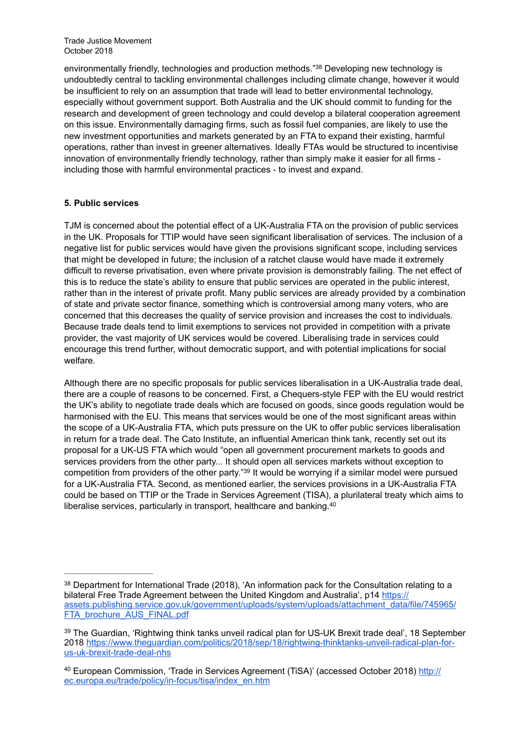environmentally friendly, technologies and production methods."<sup>38</sup> Developing new technology is undoubtedly central to tackling environmental challenges including climate change, however it would be insufficient to rely on an assumption that trade will lead to better environmental technology, especially without government support. Both Australia and the UK should commit to funding for the research and development of green technology and could develop a bilateral cooperation agreement on this issue. Environmentally damaging firms, such as fossil fuel companies, are likely to use the new investment opportunities and markets generated by an FTA to expand their existing, harmful operations, rather than invest in greener alternatives. Ideally FTAs would be structured to incentivise innovation of environmentally friendly technology, rather than simply make it easier for all firms including those with harmful environmental practices - to invest and expand.

## **5. Public services**

TJM is concerned about the potential effect of a UK-Australia FTA on the provision of public services in the UK. Proposals for TTIP would have seen significant liberalisation of services. The inclusion of a negative list for public services would have given the provisions significant scope, including services that might be developed in future; the inclusion of a ratchet clause would have made it extremely difficult to reverse privatisation, even where private provision is demonstrably failing. The net effect of this is to reduce the state's ability to ensure that public services are operated in the public interest, rather than in the interest of private profit. Many public services are already provided by a combination of state and private sector finance, something which is controversial among many voters, who are concerned that this decreases the quality of service provision and increases the cost to individuals. Because trade deals tend to limit exemptions to services not provided in competition with a private provider, the vast majority of UK services would be covered. Liberalising trade in services could encourage this trend further, without democratic support, and with potential implications for social welfare.

Although there are no specific proposals for public services liberalisation in a UK-Australia trade deal, there are a couple of reasons to be concerned. First, a Chequers-style FEP with the EU would restrict the UK's ability to negotiate trade deals which are focused on goods, since goods regulation would be harmonised with the EU. This means that services would be one of the most significant areas within the scope of a UK-Australia FTA, which puts pressure on the UK to offer public services liberalisation in return for a trade deal. The Cato Institute, an influential American think tank, recently set out its proposal for a UK-US FTA which would "open all government procurement markets to goods and services providers from the other party... It should open all services markets without exception to competition from providers of the other party."<sup>39</sup> It would be worrying if a similar model were pursued for a UK-Australia FTA. Second, as mentioned earlier, the services provisions in a UK-Australia FTA could be based on TTIP or the Trade in Services Agreement (TISA), a plurilateral treaty which aims to liberalise services, particularly in transport, healthcare and banking.<sup>40</sup>

<sup>38</sup> Department for International Trade (2018), 'An information pack for the Consultation relating to a bilateral Free Trade Agreement between the United Kingdom and Australia', p14 https:// [assets.publishing.service.gov.uk/government/uploads/system/uploads/attachment\\_data/file/745965/](https://assets.publishing.service.gov.uk/government/uploads/system/uploads/attachment_data/file/745965/FTA_brochure_AUS_FINAL.pdf) FTA\_brochure\_AUS\_FINAL.pdf

<sup>39</sup> The Guardian, 'Rightwing think tanks unveil radical plan for US-UK Brexit trade deal', 18 September [2018 https://www.theguardian.com/politics/2018/sep/18/rightwing-thinktanks-unveil-radical-plan-for](https://www.theguardian.com/politics/2018/sep/18/rightwing-thinktanks-unveil-radical-plan-for-us-uk-brexit-trade-deal-nhs)us-uk-brexit-trade-deal-nhs

<sup>&</sup>lt;sup>40</sup> [European Commission, 'Trade in Services Agreement \(TiSA\)' \(accessed October 2018\) http://](http://ec.europa.eu/trade/policy/in-focus/tisa/index_en.htm) ec.europa.eu/trade/policy/in-focus/tisa/index\_en.htm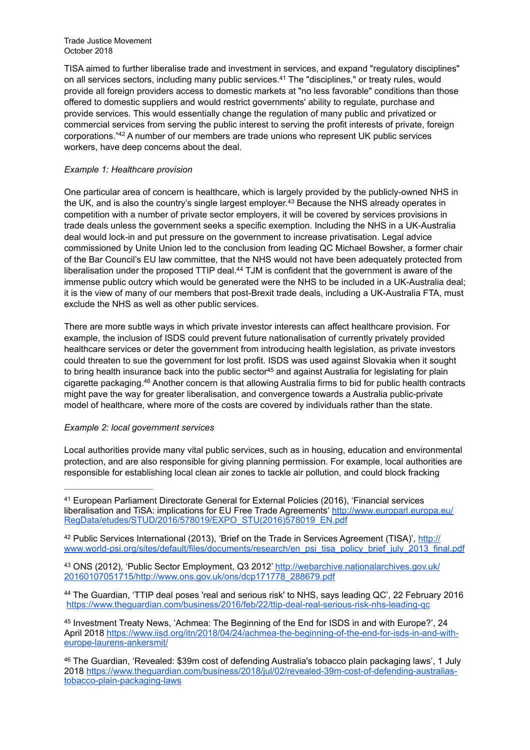TISA aimed to further liberalise trade and investment in services, and expand "regulatory disciplines" on all services sectors, including many public services.<sup>41</sup> The "disciplines," or treaty rules, would provide all foreign providers access to domestic markets at "no less favorable" conditions than those offered to domestic suppliers and would restrict governments' ability to regulate, purchase and provide services. This would essentially change the regulation of many public and privatized or commercial services from serving the public interest to serving the profit interests of private, foreign corporations." $42$  A number of our members are trade unions who represent UK public services workers, have deep concerns about the deal.

## *Example 1: Healthcare provision*

One particular area of concern is healthcare, which is largely provided by the publicly-owned NHS in the UK, and is also the country's single largest employer.<sup>43</sup> Because the NHS already operates in competition with a number of private sector employers, it will be covered by services provisions in trade deals unless the government seeks a specific exemption. Including the NHS in a UK-Australia deal would lock-in and put pressure on the government to increase privatisation. Legal advice commissioned by Unite Union led to the conclusion from leading QC Michael Bowsher, a former chair of the Bar Council's EU law committee, that the NHS would not have been adequately protected from liberalisation under the proposed TTIP deal.<sup>44</sup> TJM is confident that the government is aware of the immense public outcry which would be generated were the NHS to be included in a UK-Australia deal; it is the view of many of our members that post-Brexit trade deals, including a UK-Australia FTA, must exclude the NHS as well as other public services.

There are more subtle ways in which private investor interests can affect healthcare provision. For example, the inclusion of ISDS could prevent future nationalisation of currently privately provided healthcare services or deter the government from introducing health legislation, as private investors could threaten to sue the government for lost profit. ISDS was used against Slovakia when it sought to bring health insurance back into the public sector<sup>45</sup> and against Australia for legislating for plain cigarette packaging.<sup>46</sup> Another concern is that allowing Australia firms to bid for public health contracts might pave the way for greater liberalisation, and convergence towards a Australia public-private model of healthcare, where more of the costs are covered by individuals rather than the state.

#### *Example 2: local government services*

Local authorities provide many vital public services, such as in housing, education and environmental protection, and are also responsible for giving planning permission. For example, local authorities are responsible for establishing local clean air zones to tackle air pollution, and could block fracking

<sup>&</sup>lt;sup>41</sup> European Parliament Directorate General for External Policies (2016), 'Financial services [liberalisation and TiSA: implications for EU Free Trade Agreements' http://www.europarl.europa.eu/](http://www.europarl.europa.eu/RegData/etudes/STUD/2016/578019/EXPO_STU(2016)578019_EN.pdf) RegData/etudes/STUD/2016/578019/EXPO\_STU(2016)578019\_EN.pdf

<sup>&</sup>lt;sup>42</sup> Public Services International (2013), 'Brief on the Trade in Services Agreement (TISA)', http:// [www.world-psi.org/sites/default/files/documents/research/en\\_psi\\_tisa\\_policy\\_brief\\_july\\_2013\\_final.pdf](http://www.world-psi.org/sites/default/files/documents/research/en_psi_tisa_policy_brief_july_2013_final.pdf)

<sup>43</sup> [ONS \(2012\), 'Public Sector Employment, Q3 2012' http://webarchive.nationalarchives.gov.uk/](http://webarchive.nationalarchives.gov.uk/20160107051715/http://www.ons.gov.uk/ons/dcp171778_288679.pdf) 20160107051715/http://www.ons.gov.uk/ons/dcp171778\_288679.pdf

<sup>&</sup>lt;sup>44</sup> The Guardian, 'TTIP deal poses 'real and serious risk' to NHS, says leading QC', 22 February 2016 <https://www.theguardian.com/business/2016/feb/22/ttip-deal-real-serious-risk-nhs-leading-qc>

<sup>&</sup>lt;sup>45</sup> Investment Treaty News, 'Achmea: The Beginning of the End for ISDS in and with Europe?', 24 [April 2018 https://www.iisd.org/itn/2018/04/24/achmea-the-beginning-of-the-end-for-isds-in-and-with](https://www.iisd.org/itn/2018/04/24/achmea-the-beginning-of-the-end-for-isds-in-and-with-europe-laurens-ankersmit/)europe-laurens-ankersmit/

<sup>&</sup>lt;sup>46</sup> The Guardian, 'Revealed: \$39m cost of defending Australia's tobacco plain packaging laws', 1 July [2018 https://www.theguardian.com/business/2018/jul/02/revealed-39m-cost-of-defending-australias](https://www.theguardian.com/business/2018/jul/02/revealed-39m-cost-of-defending-australias-tobacco-plain-packaging-laws)tobacco-plain-packaging-laws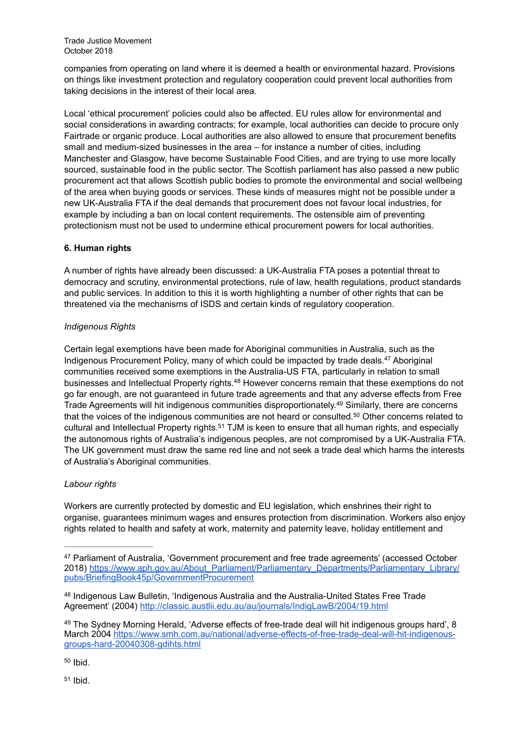companies from operating on land where it is deemed a health or environmental hazard. Provisions on things like investment protection and regulatory cooperation could prevent local authorities from taking decisions in the interest of their local area.

Local 'ethical procurement' policies could also be affected. EU rules allow for environmental and social considerations in awarding contracts; for example, local authorities can decide to procure only Fairtrade or organic produce. Local authorities are also allowed to ensure that procurement benefits small and medium-sized businesses in the area – for instance a number of cities, including Manchester and Glasgow, have become Sustainable Food Cities, and are trying to use more locally sourced, sustainable food in the public sector. The Scottish parliament has also passed a new public procurement act that allows Scottish public bodies to promote the environmental and social wellbeing of the area when buying goods or services. These kinds of measures might not be possible under a new UK-Australia FTA if the deal demands that procurement does not favour local industries, for example by including a ban on local content requirements. The ostensible aim of preventing protectionism must not be used to undermine ethical procurement powers for local authorities.

## **6. Human rights**

A number of rights have already been discussed: a UK-Australia FTA poses a potential threat to democracy and scrutiny, environmental protections, rule of law, health regulations, product standards and public services. In addition to this it is worth highlighting a number of other rights that can be threatened via the mechanisms of ISDS and certain kinds of regulatory cooperation.

## *Indigenous Rights*

Certain legal exemptions have been made for Aboriginal communities in Australia, such as the Indigenous Procurement Policy, many of which could be impacted by trade deals.<sup>47</sup> Aboriginal communities received some exemptions in the Australia-US FTA, particularly in relation to small businesses and Intellectual Property rights.<sup>48</sup> However concerns remain that these exemptions do not go far enough, are not guaranteed in future trade agreements and that any adverse effects from Free Trade Agreements will hit indigenous communities disproportionately.<sup>49</sup> Similarly, there are concerns that the voices of the indigenous communities are not heard or consulted.<sup>50</sup> Other concerns related to cultural and Intellectual Property rights.<sup>51</sup> TJM is keen to ensure that all human rights, and especially the autonomous rights of Australia's indigenous peoples, are not compromised by a UK-Australia FTA. The UK government must draw the same red line and not seek a trade deal which harms the interests of Australia's Aboriginal communities.

## *Labour rights*

Workers are currently protected by domestic and EU legislation, which enshrines their right to organise, guarantees minimum wages and ensures protection from discrimination. Workers also enjoy rights related to health and safety at work, maternity and paternity leave, holiday entitlement and

 $50$  Ibid.

 $51$  Ibid.

<sup>&</sup>lt;sup>47</sup> Parliament of Australia, 'Government procurement and free trade agreements' (accessed October [2018\) https://www.aph.gov.au/About\\_Parliament/Parliamentary\\_Departments/Parliamentary\\_Library/](https://www.aph.gov.au/About_Parliament/Parliamentary_Departments/Parliamentary_Library/pubs/BriefingBook45p/GovernmentProcurement) pubs/BriefingBook45p/GovernmentProcurement

<sup>&</sup>lt;sup>48</sup> Indigenous Law Bulletin, 'Indigenous Australia and the Australia-United States Free Trade Agreement' (2004)<http://classic.austlii.edu.au/au/journals/IndigLawB/2004/19.html>

<sup>&</sup>lt;sup>49</sup> The Sydney Morning Herald, 'Adverse effects of free-trade deal will hit indigenous groups hard', 8 [March 2004 https://www.smh.com.au/national/adverse-effects-of-free-trade-deal-will-hit-indigenous](https://www.smh.com.au/national/adverse-effects-of-free-trade-deal-will-hit-indigenous-groups-hard-20040308-gdihts.html)groups-hard-20040308-gdihts.html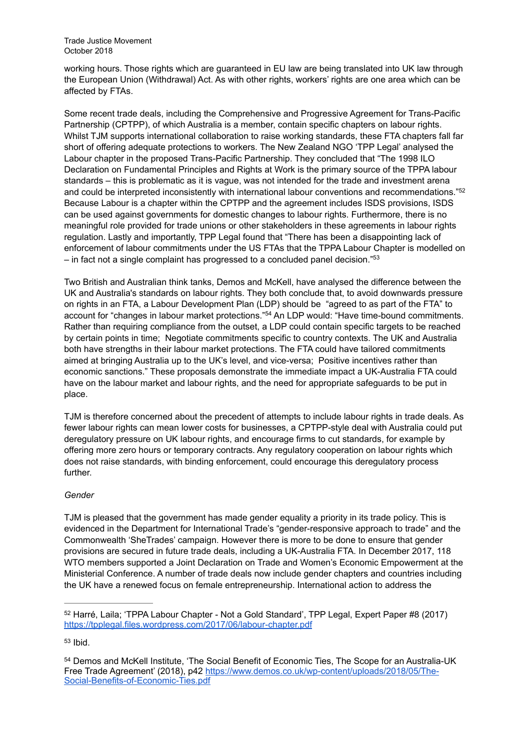working hours. Those rights which are guaranteed in EU law are being translated into UK law through the European Union (Withdrawal) Act. As with other rights, workers' rights are one area which can be affected by FTAs.

Some recent trade deals, including the Comprehensive and Progressive Agreement for Trans-Pacific Partnership (CPTPP), of which Australia is a member, contain specific chapters on labour rights. Whilst TJM supports international collaboration to raise working standards, these FTA chapters fall far short of offering adequate protections to workers. The New Zealand NGO 'TPP Legal' analysed the Labour chapter in the proposed Trans-Pacific Partnership. They concluded that "The 1998 ILO Declaration on Fundamental Principles and Rights at Work is the primary source of the TPPA labour standards – this is problematic as it is vague, was not intended for the trade and investment arena and could be interpreted inconsistently with international labour conventions and recommendations."<sup>52</sup> Because Labour is a chapter within the CPTPP and the agreement includes ISDS provisions, ISDS can be used against governments for domestic changes to labour rights. Furthermore, there is no meaningful role provided for trade unions or other stakeholders in these agreements in labour rights regulation. Lastly and importantly, TPP Legal found that "There has been a disappointing lack of enforcement of labour commitments under the US FTAs that the TPPA Labour Chapter is modelled on  $-$  in fact not a single complaint has progressed to a concluded panel decision." $53$ 

Two British and Australian think tanks, Demos and McKell, have analysed the difference between the UK and Australia's standards on labour rights. They both conclude that, to avoid downwards pressure on rights in an FTA, a Labour Development Plan (LDP) should be "agreed to as part of the FTA" to account for "changes in labour market protections."<sup>54</sup> An LDP would: "Have time-bound commitments. Rather than requiring compliance from the outset, a LDP could contain specific targets to be reached by certain points in time; Negotiate commitments specific to country contexts. The UK and Australia both have strengths in their labour market protections. The FTA could have tailored commitments aimed at bringing Australia up to the UK's level, and vice-versa; Positive incentives rather than economic sanctions." These proposals demonstrate the immediate impact a UK-Australia FTA could have on the labour market and labour rights, and the need for appropriate safeguards to be put in place.

TJM is therefore concerned about the precedent of attempts to include labour rights in trade deals. As fewer labour rights can mean lower costs for businesses, a CPTPP-style deal with Australia could put deregulatory pressure on UK labour rights, and encourage firms to cut standards, for example by offering more zero hours or temporary contracts. Any regulatory cooperation on labour rights which does not raise standards, with binding enforcement, could encourage this deregulatory process further.

## *Gender*

TJM is pleased that the government has made gender equality a priority in its trade policy. This is evidenced in the Department for International Trade's "gender-responsive approach to trade" and the Commonwealth 'SheTrades' campaign. However there is more to be done to ensure that gender provisions are secured in future trade deals, including a UK-Australia FTA. In December 2017, 118 WTO members supported a Joint Declaration on Trade and Women's Economic Empowerment at the Ministerial Conference. A number of trade deals now include gender chapters and countries including the UK have a renewed focus on female entrepreneurship. International action to address the

<sup>&</sup>lt;sup>52</sup> Harré, Laila; 'TPPA Labour Chapter - Not a Gold Standard', TPP Legal, Expert Paper #8 (2017) <https://tpplegal.files.wordpress.com/2017/06/labour-chapter.pdf>

 $53$  Ibid.

<sup>&</sup>lt;sup>54</sup> Demos and McKell Institute, 'The Social Benefit of Economic Ties, The Scope for an Australia-UK [Free Trade Agreement' \(2018\), p42 https://www.demos.co.uk/wp-content/uploads/2018/05/The-](https://www.demos.co.uk/wp-content/uploads/2018/05/The-Social-Benefits-of-Economic-Ties.pdf)Social-Benefits-of-Economic-Ties.pdf